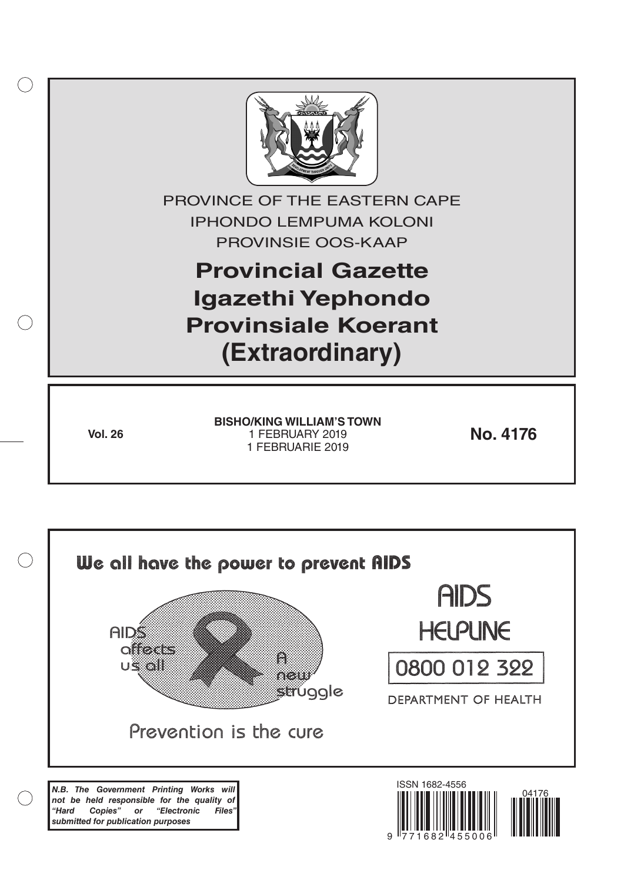

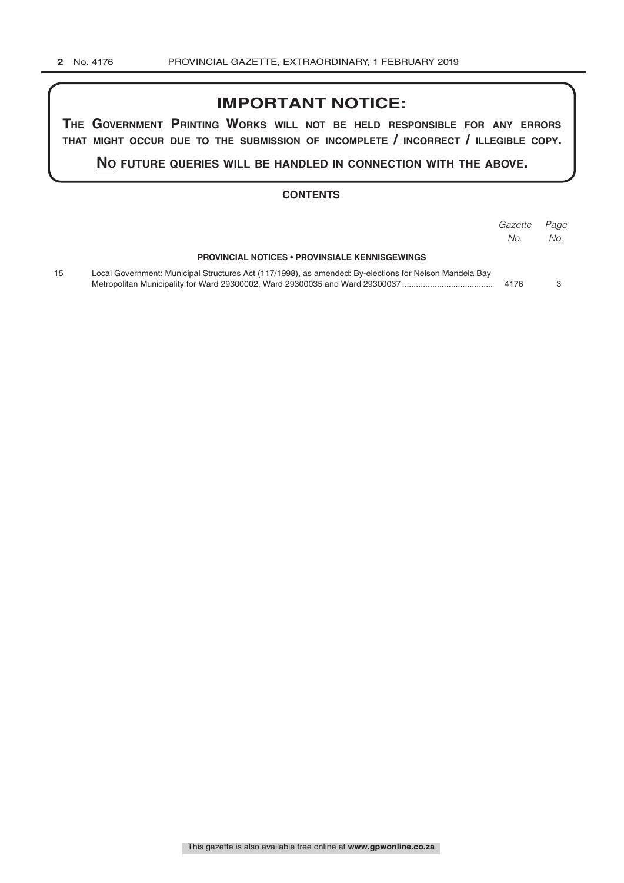### **IMPORTANT NOTICE:**

**The GovernmenT PrinTinG Works Will noT be held resPonsible for any errors ThaT miGhT occur due To The submission of incomPleTe / incorrecT / illeGible coPy.**

**no fuTure queries Will be handled in connecTion WiTh The above.**

#### **CONTENTS**

|    |                                                                                                        | Gazette<br>No. | Page<br>No. |
|----|--------------------------------------------------------------------------------------------------------|----------------|-------------|
|    | <b>PROVINCIAL NOTICES • PROVINSIALE KENNISGEWINGS</b>                                                  |                |             |
| 15 | Local Government: Municipal Structures Act (117/1998), as amended: By-elections for Nelson Mandela Bay | 4176           |             |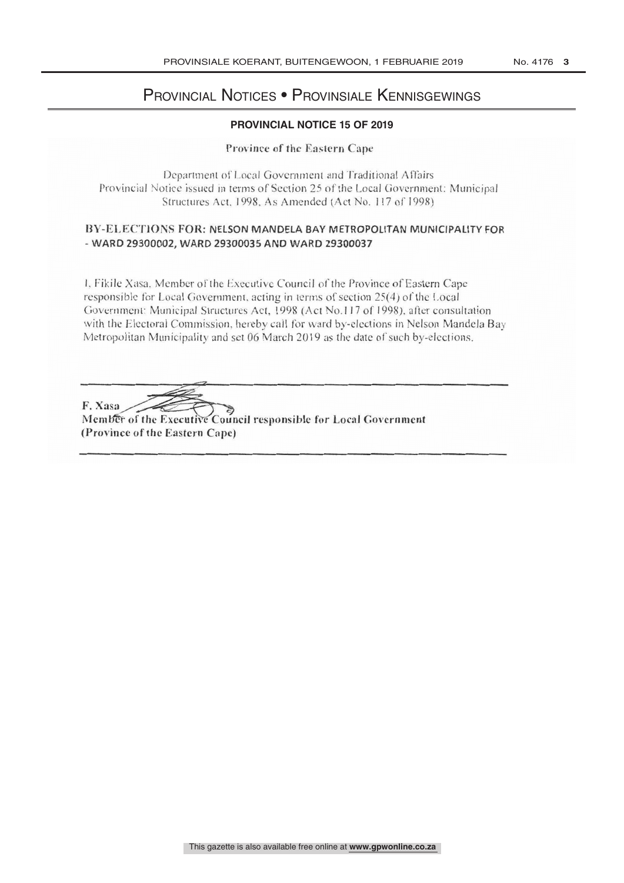# PROVINCIAL NOTICE Provincial Notices • Provinsiale Kennisgewings

#### **PROVINCIAL NOTICE 15 OF 2019**

#### Province of the Eastern Cape

Department of Local Government and Traditional Affairs<br>Provincial Notice issued in terms of Section 25 of the Local Government: Municipal Structures Act, 1998, As Amended (Act No. 117 of 1998)

## BY-ELECTIONS FOR: NELSON MANDELA BAY METROPOLITAN MUNICIPALITY FOR<br>- WARD 29300002. WARD 29300035 AND WARD 29300037 - WARD 29300002, WARD 29300035 AND WARD 29300037

1, Fikile Xasa, Member of the Executive Council of the Province of Eastern Cape<br>responsible for Local Government, acting in terms of section 25(4) of the Local<br>Government: Municipal Structures Act, 1998 (Act No.117 of 1998

F. Xasa Member of the Executive Council responsible for Local Government<br>(Province of the Eastern Cape)